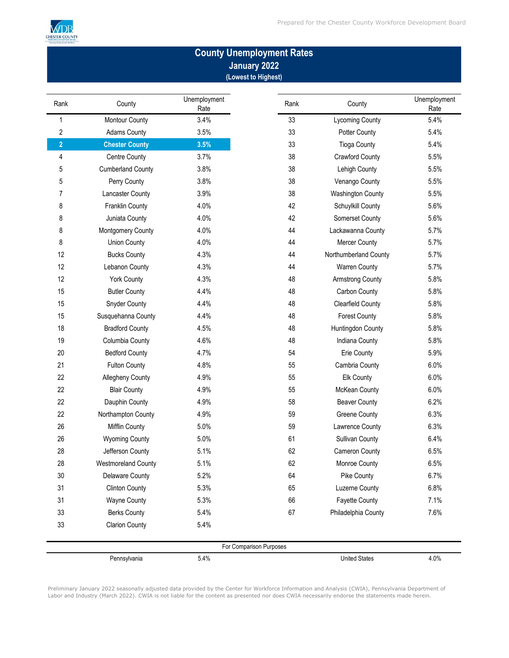

## **County Unemployment Rates January 2022 (Lowest to Highest)**

| Rank           | County                     | Unemployment<br>Rate | Rank                    | County                   | Unemployment<br>Rate |
|----------------|----------------------------|----------------------|-------------------------|--------------------------|----------------------|
| 1              | Montour County             | 3.4%                 | 33                      | Lycoming County          | 5.4%                 |
| 2              | <b>Adams County</b>        | 3.5%                 | 33                      | Potter County            | 5.4%                 |
| $\overline{2}$ | <b>Chester County</b>      | 3.5%                 | 33                      | <b>Tioga County</b>      | 5.4%                 |
| 4              | <b>Centre County</b>       | 3.7%                 | 38                      | <b>Crawford County</b>   | 5.5%                 |
| 5              | <b>Cumberland County</b>   | 3.8%                 | 38                      | Lehigh County            | 5.5%                 |
| 5              | Perry County               | 3.8%                 | 38                      | Venango County           | 5.5%                 |
| 7              | Lancaster County           | 3.9%                 | 38                      | <b>Washington County</b> | 5.5%                 |
| 8              | Franklin County            | 4.0%                 | 42                      | Schuylkill County        | 5.6%                 |
| 8              | Juniata County             | 4.0%                 | 42                      | Somerset County          | 5.6%                 |
| 8              | Montgomery County          | 4.0%                 | 44                      | Lackawanna County        | 5.7%                 |
| 8              | <b>Union County</b>        | 4.0%                 | 44                      | <b>Mercer County</b>     | 5.7%                 |
| 12             | <b>Bucks County</b>        | 4.3%                 | 44                      | Northumberland County    | 5.7%                 |
| 12             | Lebanon County             | 4.3%                 | 44                      | <b>Warren County</b>     | 5.7%                 |
| 12             | <b>York County</b>         | 4.3%                 | 48                      | <b>Armstrong County</b>  | 5.8%                 |
| 15             | <b>Butler County</b>       | 4.4%                 | 48                      | Carbon County            | 5.8%                 |
| 15             | <b>Snyder County</b>       | 4.4%                 | 48                      | <b>Clearfield County</b> | 5.8%                 |
| 15             | Susquehanna County         | 4.4%                 | 48                      | <b>Forest County</b>     | 5.8%                 |
| 18             | <b>Bradford County</b>     | 4.5%                 | 48                      | Huntingdon County        | 5.8%                 |
| 19             | Columbia County            | 4.6%                 | 48                      | Indiana County           | 5.8%                 |
| 20             | <b>Bedford County</b>      | 4.7%                 | 54                      | Erie County              | 5.9%                 |
| 21             | Fulton County              | 4.8%                 | 55                      | Cambria County           | 6.0%                 |
| 22             | Allegheny County           | 4.9%                 | 55                      | Elk County               | 6.0%                 |
| 22             | <b>Blair County</b>        | 4.9%                 | 55                      | McKean County            | 6.0%                 |
| 22             | Dauphin County             | 4.9%                 | 58                      | <b>Beaver County</b>     | 6.2%                 |
| 22             | Northampton County         | 4.9%                 | 59                      | <b>Greene County</b>     | 6.3%                 |
| 26             | Mifflin County             | 5.0%                 | 59                      | Lawrence County          | 6.3%                 |
| 26             | <b>Wyoming County</b>      | 5.0%                 | 61                      | <b>Sullivan County</b>   | 6.4%                 |
| 28             | Jefferson County           | 5.1%                 | 62                      | Cameron County           | 6.5%                 |
| 28             | <b>Westmoreland County</b> | 5.1%                 | 62                      | Monroe County            | 6.5%                 |
| 30             | <b>Delaware County</b>     | 5.2%                 | 64                      | Pike County              | 6.7%                 |
| 31             | <b>Clinton County</b>      | 5.3%                 | 65                      | <b>Luzerne County</b>    | 6.8%                 |
| 31             | <b>Wayne County</b>        | 5.3%                 | 66                      | <b>Fayette County</b>    | 7.1%                 |
| 33             | <b>Berks County</b>        | 5.4%                 | 67                      | Philadelphia County      | 7.6%                 |
| 33             | <b>Clarion County</b>      | 5.4%                 |                         |                          |                      |
|                |                            |                      | For Comparison Purposes |                          |                      |
|                | Pennsylvania               | 5.4%                 |                         | <b>United States</b>     | 4.0%                 |

Preliminary January 2022 seasonally adjusted data provided by the Center for Workforce Information and Analysis (CWIA), Pennsylvania Department of Labor and Industry (March 2022). CWIA is not liable for the content as presented nor does CWIA necessarily endorse the statements made herein.